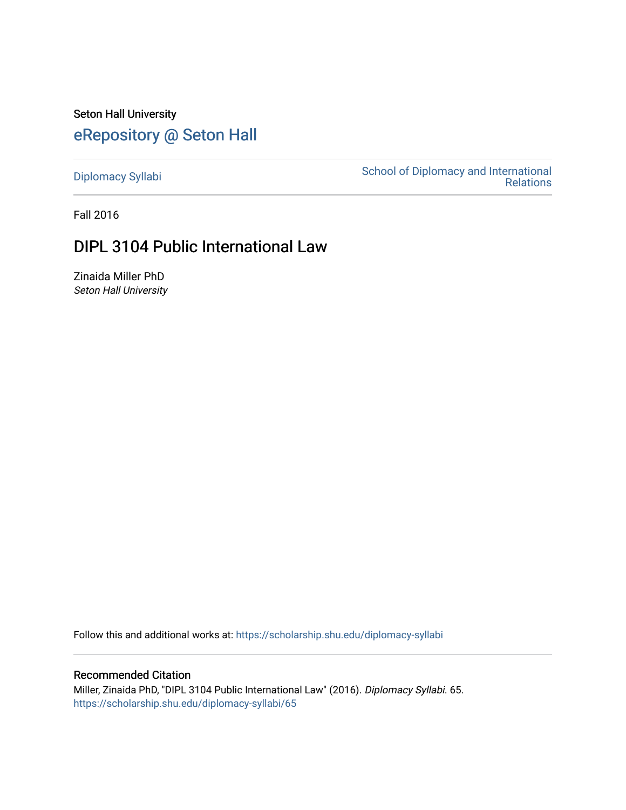Seton Hall University [eRepository @ Seton Hall](https://scholarship.shu.edu/)

[Diplomacy Syllabi](https://scholarship.shu.edu/diplomacy-syllabi) [School of Diplomacy and International](https://scholarship.shu.edu/diplomacy)  [Relations](https://scholarship.shu.edu/diplomacy) 

Fall 2016

# DIPL 3104 Public International Law

Zinaida Miller PhD Seton Hall University

Follow this and additional works at: [https://scholarship.shu.edu/diplomacy-syllabi](https://scholarship.shu.edu/diplomacy-syllabi?utm_source=scholarship.shu.edu%2Fdiplomacy-syllabi%2F65&utm_medium=PDF&utm_campaign=PDFCoverPages) 

#### Recommended Citation

Miller, Zinaida PhD, "DIPL 3104 Public International Law" (2016). Diplomacy Syllabi. 65. [https://scholarship.shu.edu/diplomacy-syllabi/65](https://scholarship.shu.edu/diplomacy-syllabi/65?utm_source=scholarship.shu.edu%2Fdiplomacy-syllabi%2F65&utm_medium=PDF&utm_campaign=PDFCoverPages)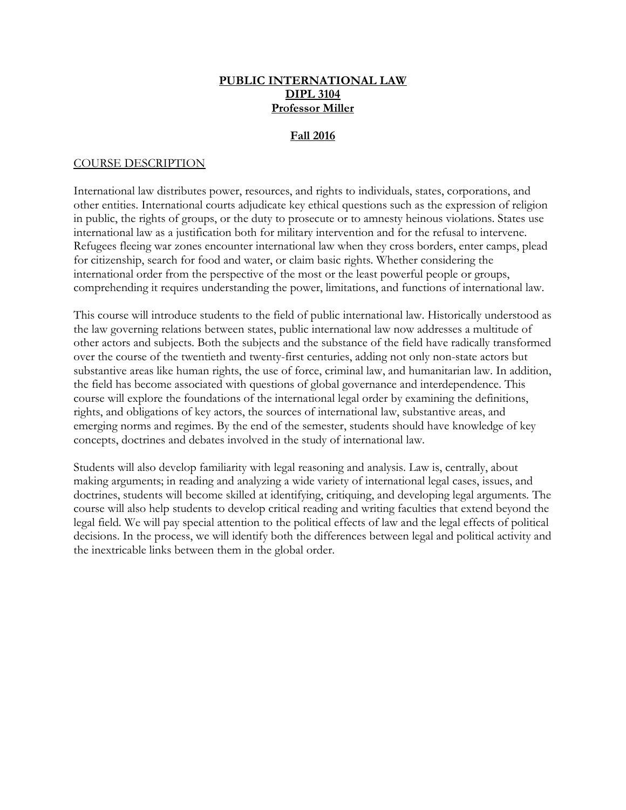#### **PUBLIC INTERNATIONAL LAW DIPL 3104 Professor Miller**

#### **Fall 2016**

#### COURSE DESCRIPTION

International law distributes power, resources, and rights to individuals, states, corporations, and other entities. International courts adjudicate key ethical questions such as the expression of religion in public, the rights of groups, or the duty to prosecute or to amnesty heinous violations. States use international law as a justification both for military intervention and for the refusal to intervene. Refugees fleeing war zones encounter international law when they cross borders, enter camps, plead for citizenship, search for food and water, or claim basic rights. Whether considering the international order from the perspective of the most or the least powerful people or groups, comprehending it requires understanding the power, limitations, and functions of international law.

This course will introduce students to the field of public international law. Historically understood as the law governing relations between states, public international law now addresses a multitude of other actors and subjects. Both the subjects and the substance of the field have radically transformed over the course of the twentieth and twenty-first centuries, adding not only non-state actors but substantive areas like human rights, the use of force, criminal law, and humanitarian law. In addition, the field has become associated with questions of global governance and interdependence. This course will explore the foundations of the international legal order by examining the definitions, rights, and obligations of key actors, the sources of international law, substantive areas, and emerging norms and regimes. By the end of the semester, students should have knowledge of key concepts, doctrines and debates involved in the study of international law.

Students will also develop familiarity with legal reasoning and analysis. Law is, centrally, about making arguments; in reading and analyzing a wide variety of international legal cases, issues, and doctrines, students will become skilled at identifying, critiquing, and developing legal arguments. The course will also help students to develop critical reading and writing faculties that extend beyond the legal field. We will pay special attention to the political effects of law and the legal effects of political decisions. In the process, we will identify both the differences between legal and political activity and the inextricable links between them in the global order.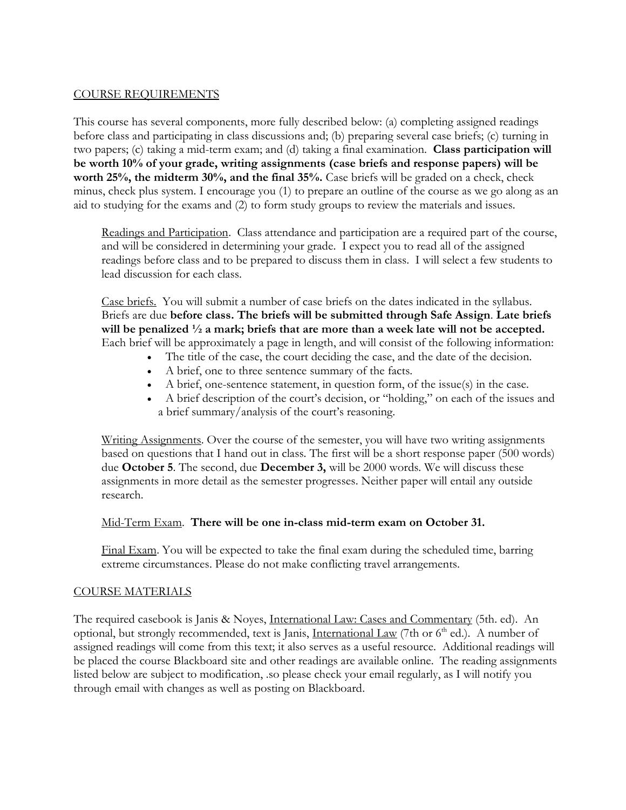#### COURSE REQUIREMENTS

This course has several components, more fully described below: (a) completing assigned readings before class and participating in class discussions and; (b) preparing several case briefs; (c) turning in two papers; (c) taking a mid-term exam; and (d) taking a final examination. **Class participation will be worth 10% of your grade, writing assignments (case briefs and response papers) will be worth 25%, the midterm 30%, and the final 35%.** Case briefs will be graded on a check, check minus, check plus system. I encourage you (1) to prepare an outline of the course as we go along as an aid to studying for the exams and (2) to form study groups to review the materials and issues.

Readings and Participation. Class attendance and participation are a required part of the course, and will be considered in determining your grade. I expect you to read all of the assigned readings before class and to be prepared to discuss them in class. I will select a few students to lead discussion for each class.

Case briefs. You will submit a number of case briefs on the dates indicated in the syllabus. Briefs are due **before class. The briefs will be submitted through Safe Assign**. **Late briefs will be penalized ½ a mark; briefs that are more than a week late will not be accepted.** Each brief will be approximately a page in length, and will consist of the following information:

- The title of the case, the court deciding the case, and the date of the decision.
- A brief, one to three sentence summary of the facts.
- A brief, one-sentence statement, in question form, of the issue(s) in the case.
- A brief description of the court's decision, or "holding," on each of the issues and a brief summary/analysis of the court's reasoning.

Writing Assignments. Over the course of the semester, you will have two writing assignments based on questions that I hand out in class. The first will be a short response paper (500 words) due **October 5**. The second, due **December 3,** will be 2000 words. We will discuss these assignments in more detail as the semester progresses. Neither paper will entail any outside research.

#### Mid-Term Exam. **There will be one in-class mid-term exam on October 31.**

Final Exam. You will be expected to take the final exam during the scheduled time, barring extreme circumstances. Please do not make conflicting travel arrangements.

#### COURSE MATERIALS

The required casebook is Janis & Noyes, International Law: Cases and Commentary (5th. ed). An optional, but strongly recommended, text is Janis, International Law (7th or 6<sup>th</sup> ed.). A number of assigned readings will come from this text; it also serves as a useful resource. Additional readings will be placed the course Blackboard site and other readings are available online. The reading assignments listed below are subject to modification, .so please check your email regularly, as I will notify you through email with changes as well as posting on Blackboard.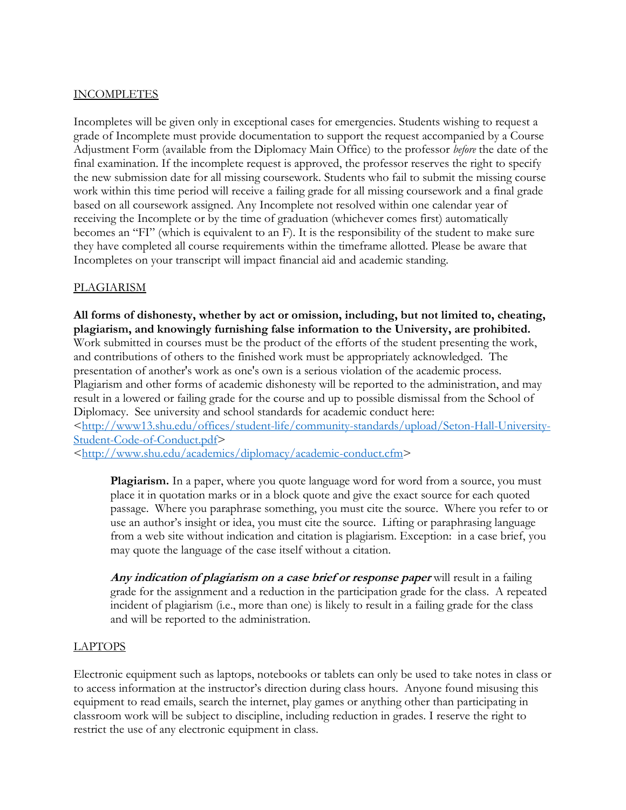#### INCOMPLETES

Incompletes will be given only in exceptional cases for emergencies. Students wishing to request a grade of Incomplete must provide documentation to support the request accompanied by a Course Adjustment Form (available from the Diplomacy Main Office) to the professor *before* the date of the final examination. If the incomplete request is approved, the professor reserves the right to specify the new submission date for all missing coursework. Students who fail to submit the missing course work within this time period will receive a failing grade for all missing coursework and a final grade based on all coursework assigned. Any Incomplete not resolved within one calendar year of receiving the Incomplete or by the time of graduation (whichever comes first) automatically becomes an "FI" (which is equivalent to an F). It is the responsibility of the student to make sure they have completed all course requirements within the timeframe allotted. Please be aware that Incompletes on your transcript will impact financial aid and academic standing.

#### PLAGIARISM

**All forms of dishonesty, whether by act or omission, including, but not limited to, cheating, plagiarism, and knowingly furnishing false information to the University, are prohibited.** Work submitted in courses must be the product of the efforts of the student presenting the work, and contributions of others to the finished work must be appropriately acknowledged. The presentation of another's work as one's own is a serious violation of the academic process. Plagiarism and other forms of academic dishonesty will be reported to the administration, and may result in a lowered or failing grade for the course and up to possible dismissal from the School of Diplomacy. See university and school standards for academic conduct here:

[<http://www13.shu.edu/offices/student-life/community-standards/upload/Seton-Hall-University-](http://www13.shu.edu/offices/student-life/community-standards/upload/Seton-Hall-University-Student-Code-of-Conduct.pdf)[Student-Code-of-Conduct.pdf>](http://www13.shu.edu/offices/student-life/community-standards/upload/Seton-Hall-University-Student-Code-of-Conduct.pdf)

[<http://www.shu.edu/academics/diplomacy/academic-conduct.cfm>](http://www.shu.edu/academics/diplomacy/academic-conduct.cfm)

**Plagiarism.** In a paper, where you quote language word for word from a source, you must place it in quotation marks or in a block quote and give the exact source for each quoted passage. Where you paraphrase something, you must cite the source. Where you refer to or use an author's insight or idea, you must cite the source. Lifting or paraphrasing language from a web site without indication and citation is plagiarism. Exception: in a case brief, you may quote the language of the case itself without a citation.

**Any indication of plagiarism on a case brief or response paper** will result in a failing grade for the assignment and a reduction in the participation grade for the class. A repeated incident of plagiarism (i.e., more than one) is likely to result in a failing grade for the class and will be reported to the administration.

#### LAPTOPS

Electronic equipment such as laptops, notebooks or tablets can only be used to take notes in class or to access information at the instructor's direction during class hours. Anyone found misusing this equipment to read emails, search the internet, play games or anything other than participating in classroom work will be subject to discipline, including reduction in grades. I reserve the right to restrict the use of any electronic equipment in class.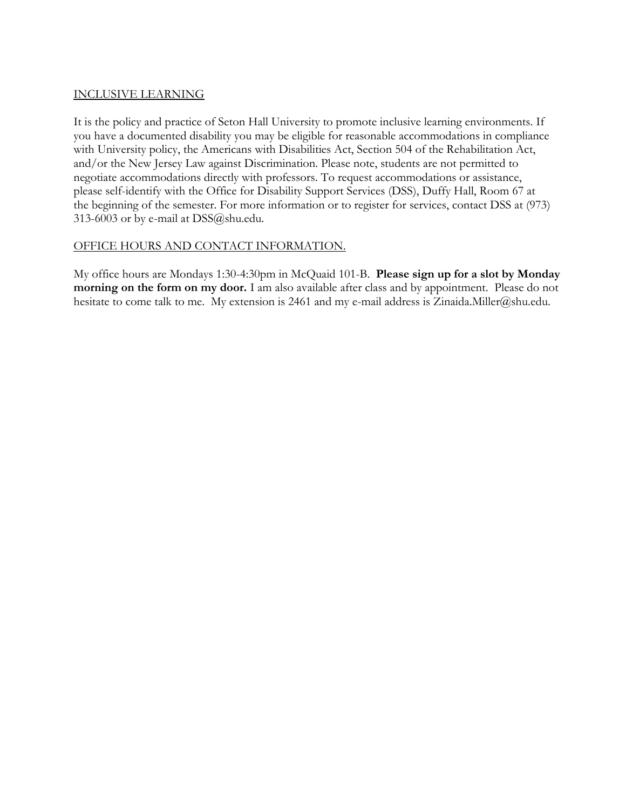#### INCLUSIVE LEARNING

It is the policy and practice of Seton Hall University to promote inclusive learning environments. If you have a documented disability you may be eligible for reasonable accommodations in compliance with University policy, the Americans with Disabilities Act, Section 504 of the Rehabilitation Act, and/or the New Jersey Law against Discrimination. Please note, students are not permitted to negotiate accommodations directly with professors. To request accommodations or assistance, please self-identify with the Office for Disability Support Services (DSS), Duffy Hall, Room 67 at the beginning of the semester. For more information or to register for services, contact DSS at (973) 313-6003 or by e-mail at DSS@shu.edu.

#### OFFICE HOURS AND CONTACT INFORMATION.

My office hours are Mondays 1:30-4:30pm in McQuaid 101-B. **Please sign up for a slot by Monday morning on the form on my door.** I am also available after class and by appointment. Please do not hesitate to come talk to me. My extension is 2461 and my e-mail address is Zinaida.Miller@shu.edu.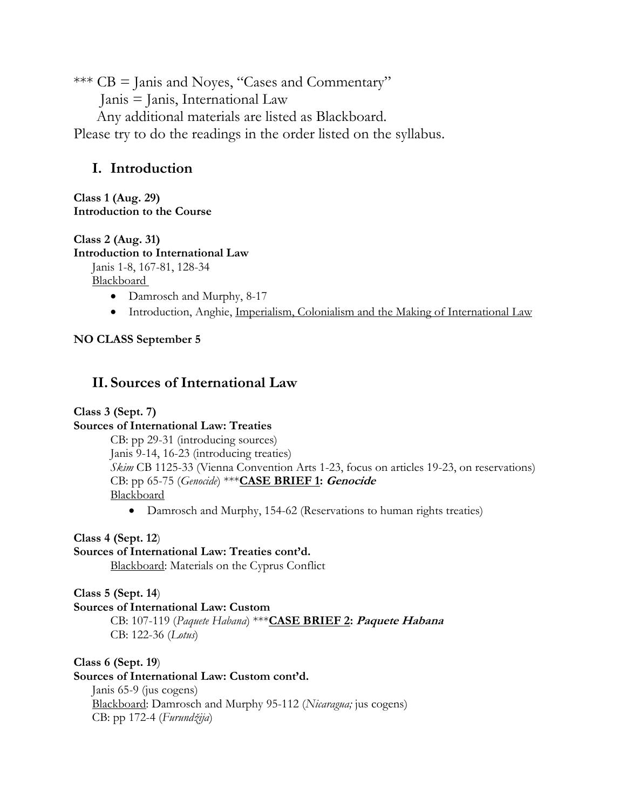\*\*\* CB = Janis and Noyes, "Cases and Commentary"

Janis = Janis, International Law

Any additional materials are listed as Blackboard.

Please try to do the readings in the order listed on the syllabus.

# **I. Introduction**

**Class 1 (Aug. 29) Introduction to the Course**

**Class 2 (Aug. 31)**

**Introduction to International Law**

Janis 1-8, 167-81, 128-34

**Blackboard** 

- Damrosch and Murphy, 8-17
- Introduction, Anghie, Imperialism, Colonialism and the Making of International Law

## **NO CLASS September 5**

## **II. Sources of International Law**

## **Class 3 (Sept. 7)**

## **Sources of International Law: Treaties**

CB: pp 29-31 (introducing sources) Janis 9-14, 16-23 (introducing treaties) *Skim* CB 1125-33 (Vienna Convention Arts 1-23, focus on articles 19-23, on reservations) CB: pp 65-75 (*Genocide*) \*\*\***CASE BRIEF 1: Genocide Blackboard** 

• Damrosch and Murphy, 154-62 (Reservations to human rights treaties)

**Class 4 (Sept. 12**)

## **Sources of International Law: Treaties cont'd.**

Blackboard: Materials on the Cyprus Conflict

**Class 5 (Sept. 14**)

#### **Sources of International Law: Custom**

CB: 107-119 (*Paquete Habana*) \*\*\***CASE BRIEF 2: Paquete Habana** CB: 122-36 (*Lotus*)

**Class 6 (Sept. 19**)

#### **Sources of International Law: Custom cont'd.**

Janis 65-9 (jus cogens) Blackboard: Damrosch and Murphy 95-112 (*Nicaragua;* jus cogens) CB: pp 172-4 (*Furundžija*)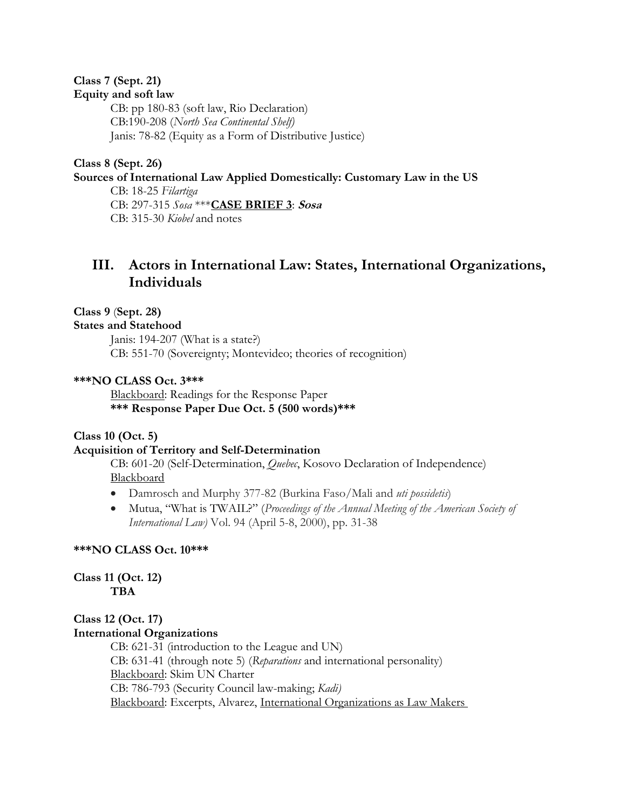#### **Class 7 (Sept. 21) Equity and soft law**

CB: pp 180-83 (soft law, Rio Declaration) CB:190-208 (*North Sea Continental Shelf)* Janis: 78-82 (Equity as a Form of Distributive Justice)

#### **Class 8 (Sept. 26) Sources of International Law Applied Domestically: Customary Law in the US**

CB: 18-25 *Filartiga* CB: 297-315 *Sosa* \*\*\***CASE BRIEF 3**: **Sosa** CB: 315-30 *Kiobel* and notes

## **III. Actors in International Law: States, International Organizations, Individuals**

#### **Class 9** (**Sept. 28)**

#### **States and Statehood**

Janis: 194-207 (What is a state?) CB: 551-70 (Sovereignty; Montevideo; theories of recognition)

#### **\*\*\*NO CLASS Oct. 3\*\*\***

Blackboard: Readings for the Response Paper **\*\*\* Response Paper Due Oct. 5 (500 words)\*\*\***

#### **Class 10 (Oct. 5)**

#### **Acquisition of Territory and Self-Determination**

CB: 601-20 (Self-Determination, *Quebec*, Kosovo Declaration of Independence) **Blackboard** 

- Damrosch and Murphy 377-82 (Burkina Faso/Mali and *uti possidetis*)
- Mutua, "What is TWAIL?" (*Proceedings of the Annual Meeting of the American Society of International Law)* Vol. 94 (April 5-8, 2000), pp. 31-38

#### **\*\*\*NO CLASS Oct. 10\*\*\***

**Class 11 (Oct. 12) TBA**

## **Class 12 (Oct. 17) International Organizations**

CB: 621-31 (introduction to the League and UN) CB: 631-41 (through note 5) (*Reparations* and international personality) Blackboard: Skim UN Charter CB: 786-793 (Security Council law-making; *Kadi)* Blackboard: Excerpts, Alvarez, International Organizations as Law Makers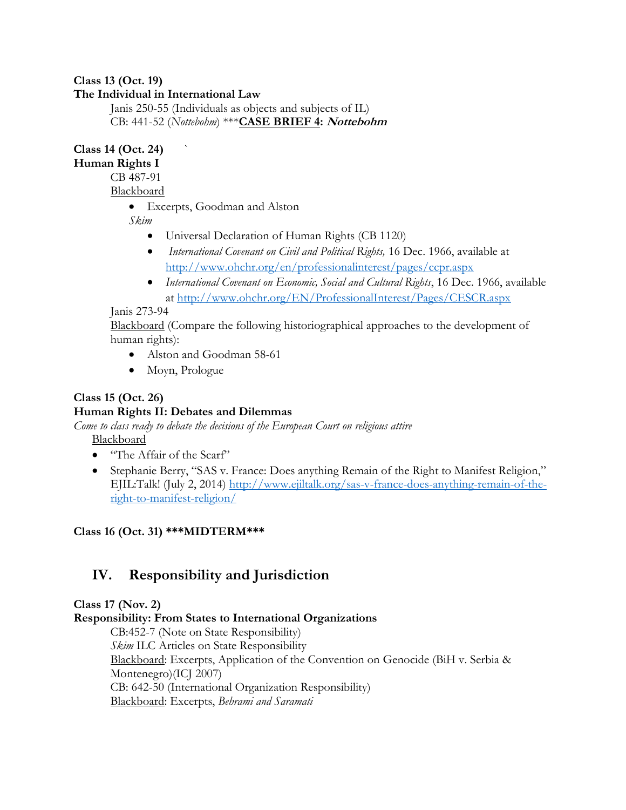#### **Class 13 (Oct. 19)**

### **The Individual in International Law**

Janis 250-55 (Individuals as objects and subjects of IL) CB: 441-52 (*Nottebohm*) \*\*\***CASE BRIEF 4: Nottebohm** 

**Class 14 (Oct. 24)** `

**Human Rights I**

CB 487-91

Blackboard

• Excerpts, Goodman and Alston

*Skim* 

- Universal Declaration of Human Rights (CB 1120)
- *International Covenant on Civil and Political Rights,* 16 Dec. 1966, available at <http://www.ohchr.org/en/professionalinterest/pages/ccpr.aspx>
- *International Covenant on Economic, Social and Cultural Rights*, 16 Dec. 1966, available at<http://www.ohchr.org/EN/ProfessionalInterest/Pages/CESCR.aspx>

#### Janis 273-94

Blackboard (Compare the following historiographical approaches to the development of human rights):

- Alston and Goodman 58-61
- Moyn, Prologue

## **Class 15 (Oct. 26)**

## **Human Rights II: Debates and Dilemmas**

*Come to class ready to debate the decisions of the European Court on religious attire* Blackboard

- "The Affair of the Scarf"
- Stephanie Berry, "SAS v. France: Does anything Remain of the Right to Manifest Religion," EJIL:Talk! (July 2, 2014) [http://www.ejiltalk.org/sas-v-france-does-anything-remain-of-the](http://www.ejiltalk.org/sas-v-france-does-anything-remain-of-the-right-to-manifest-religion/)[right-to-manifest-religion/](http://www.ejiltalk.org/sas-v-france-does-anything-remain-of-the-right-to-manifest-religion/)

## **Class 16 (Oct. 31) \*\*\*MIDTERM\*\*\***

# **IV. Responsibility and Jurisdiction**

## **Class 17 (Nov. 2)**

#### **Responsibility: From States to International Organizations**

CB:452-7 (Note on State Responsibility) *Skim* ILC Articles on State Responsibility Blackboard: Excerpts, Application of the Convention on Genocide (BiH v. Serbia & Montenegro)(ICJ 2007) CB: 642-50 (International Organization Responsibility) Blackboard: Excerpts, *Behrami and Saramati*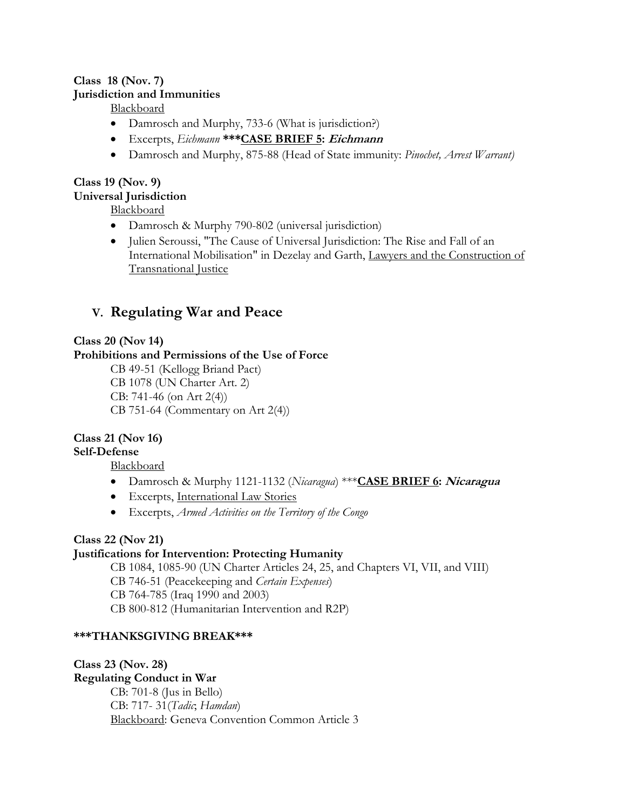## **Class 18 (Nov. 7) Jurisdiction and Immunities**

Blackboard

- Damrosch and Murphy, 733-6 (What is jurisdiction?)
- Excerpts, *Eichmann* **\*\*\*CASE BRIEF 5: Eichmann**
- Damrosch and Murphy, 875-88 (Head of State immunity: *Pinochet, Arrest Warrant)*

# **Class 19 (Nov. 9) Universal Jurisdiction**

Blackboard

- Damrosch & Murphy 790-802 (universal jurisdiction)
- Julien Seroussi, "The Cause of Universal Jurisdiction: The Rise and Fall of an International Mobilisation" in Dezelay and Garth, Lawyers and the Construction of Transnational Justice

# **V. Regulating War and Peace**

## **Class 20 (Nov 14)**

## **Prohibitions and Permissions of the Use of Force**

CB 49-51 (Kellogg Briand Pact) CB 1078 (UN Charter Art. 2) CB: 741-46 (on Art 2(4)) CB 751-64 (Commentary on Art 2(4))

## **Class 21 (Nov 16)**

**Self-Defense**

Blackboard

- Damrosch & Murphy 1121-1132 (*Nicaragua*) \*\*\***CASE BRIEF 6: Nicaragua**
- Excerpts, International Law Stories
- Excerpts, *Armed Activities on the Territory of the Congo*

## **Class 22 (Nov 21)**

## **Justifications for Intervention: Protecting Humanity**

CB 1084, 1085-90 (UN Charter Articles 24, 25, and Chapters VI, VII, and VIII) CB 746-51 (Peacekeeping and *Certain Expenses*) CB 764-785 (Iraq 1990 and 2003) CB 800-812 (Humanitarian Intervention and R2P)

## **\*\*\*THANKSGIVING BREAK\*\*\***

**Class 23 (Nov. 28) Regulating Conduct in War** CB: 701-8 (Jus in Bello) CB: 717- 31(*Tadic*; *Hamdan*) Blackboard: Geneva Convention Common Article 3